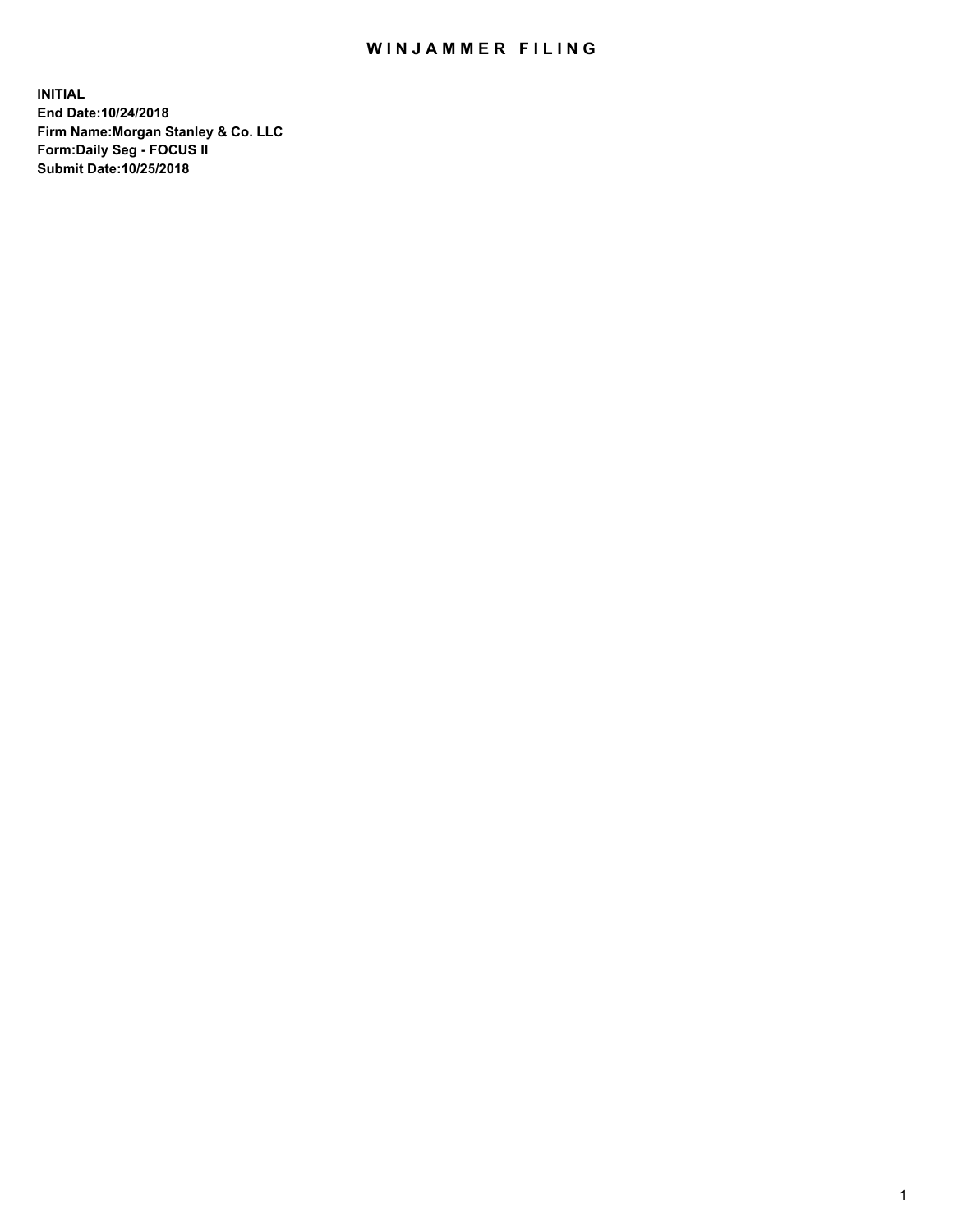## WIN JAMMER FILING

**INITIAL End Date:10/24/2018 Firm Name:Morgan Stanley & Co. LLC Form:Daily Seg - FOCUS II Submit Date:10/25/2018**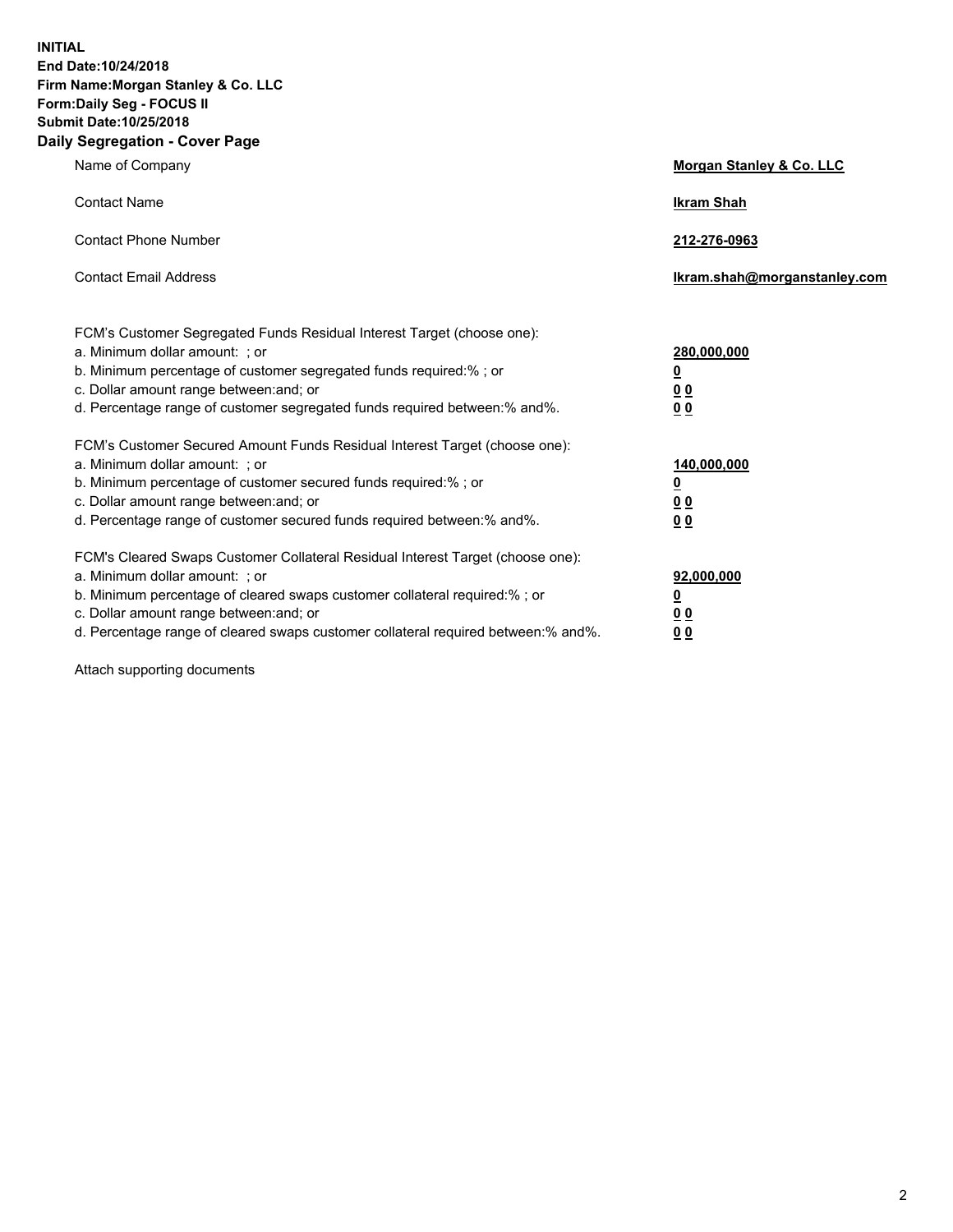**INITIAL End Date:10/24/2018 Firm Name:Morgan Stanley & Co. LLC Form:Daily Seg - FOCUS II Submit Date:10/25/2018 Daily Segregation - Cover Page**

| Name of Company                                                                                                                                                                                                                                                                                                                | Morgan Stanley & Co. LLC                               |
|--------------------------------------------------------------------------------------------------------------------------------------------------------------------------------------------------------------------------------------------------------------------------------------------------------------------------------|--------------------------------------------------------|
| <b>Contact Name</b>                                                                                                                                                                                                                                                                                                            | <b>Ikram Shah</b>                                      |
| <b>Contact Phone Number</b>                                                                                                                                                                                                                                                                                                    | 212-276-0963                                           |
| <b>Contact Email Address</b>                                                                                                                                                                                                                                                                                                   | Ikram.shah@morganstanley.com                           |
| FCM's Customer Segregated Funds Residual Interest Target (choose one):<br>a. Minimum dollar amount: : or<br>b. Minimum percentage of customer segregated funds required:% ; or<br>c. Dollar amount range between: and; or<br>d. Percentage range of customer segregated funds required between:% and%.                         | 280,000,000<br><u>0</u><br>0 <sub>0</sub><br><u>00</u> |
| FCM's Customer Secured Amount Funds Residual Interest Target (choose one):<br>a. Minimum dollar amount: ; or<br>b. Minimum percentage of customer secured funds required:% ; or<br>c. Dollar amount range between: and; or<br>d. Percentage range of customer secured funds required between:% and%.                           | 140,000,000<br><u>0</u><br><u>00</u><br>0 <sub>0</sub> |
| FCM's Cleared Swaps Customer Collateral Residual Interest Target (choose one):<br>a. Minimum dollar amount: ; or<br>b. Minimum percentage of cleared swaps customer collateral required:% ; or<br>c. Dollar amount range between: and; or<br>d. Percentage range of cleared swaps customer collateral required between:% and%. | 92,000,000<br><u>0</u><br><u>00</u><br>0 <sub>0</sub>  |

Attach supporting documents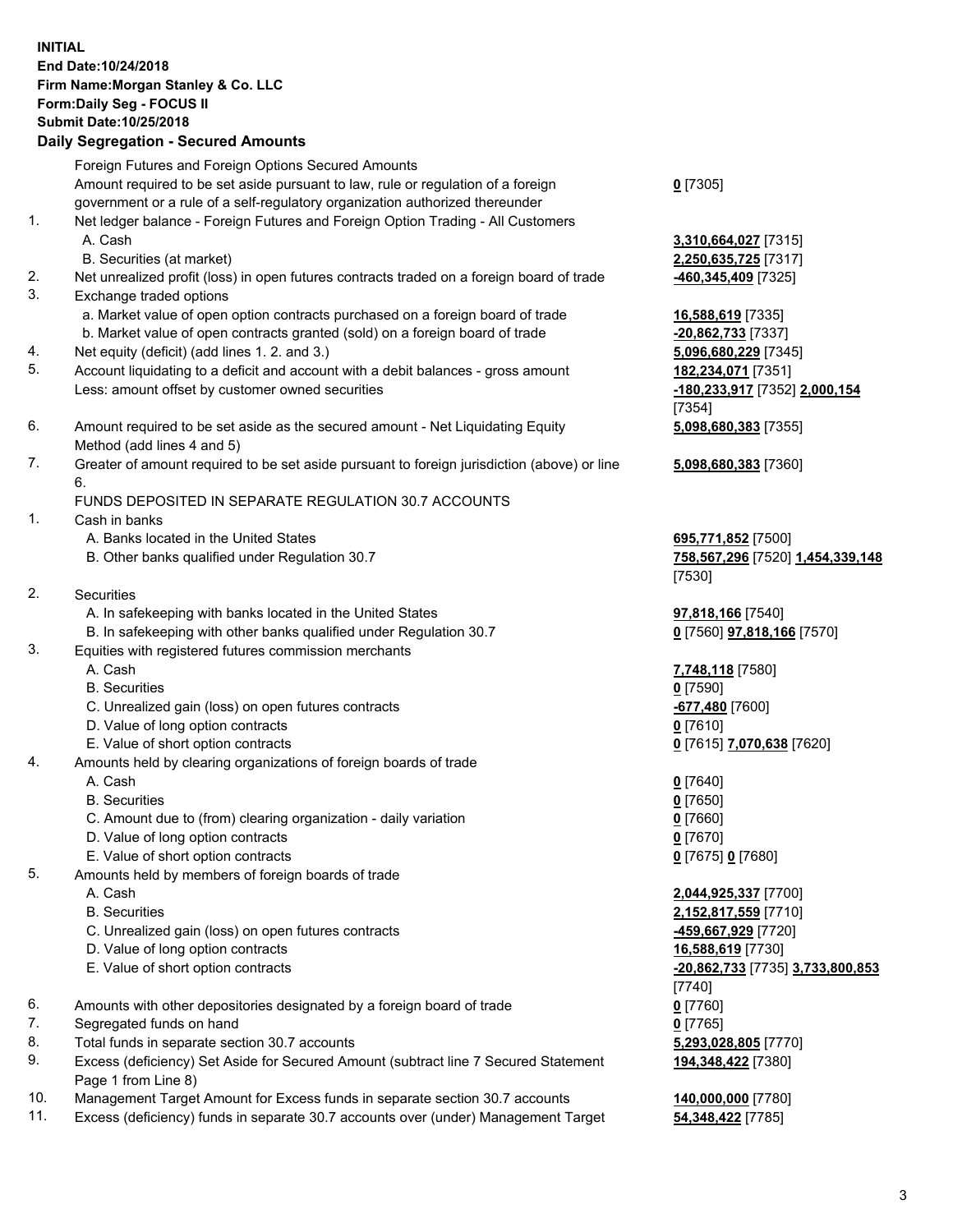## **INITIAL End Date:10/24/2018 Firm Name:Morgan Stanley & Co. LLC Form:Daily Seg - FOCUS II Submit Date:10/25/2018**

## **Daily Segregation - Secured Amounts**

Foreign Futures and Foreign Options Secured Amounts Amount required to be set aside pursuant to law, rule or regulation of a foreign government or a rule of a self-regulatory organization authorized thereunder

- 1. Net ledger balance Foreign Futures and Foreign Option Trading All Customers A. Cash **3,310,664,027** [7315]
	- B. Securities (at market) **2,250,635,725** [7317]
- 2. Net unrealized profit (loss) in open futures contracts traded on a foreign board of trade **-460,345,409** [7325]
- 3. Exchange traded options
	- a. Market value of open option contracts purchased on a foreign board of trade **16,588,619** [7335]
	- b. Market value of open contracts granted (sold) on a foreign board of trade **-20,862,733** [7337]
- 4. Net equity (deficit) (add lines 1. 2. and 3.) **5,096,680,229** [7345]
- 5. Account liquidating to a deficit and account with a debit balances gross amount **182,234,071** [7351] Less: amount offset by customer owned securities **-180,233,917** [7352] **2,000,154**
- 6. Amount required to be set aside as the secured amount Net Liquidating Equity Method (add lines 4 and 5)
- 7. Greater of amount required to be set aside pursuant to foreign jurisdiction (above) or line 6.

## FUNDS DEPOSITED IN SEPARATE REGULATION 30.7 ACCOUNTS

- 1. Cash in banks
	- A. Banks located in the United States **695,771,852** [7500]
	- B. Other banks qualified under Regulation 30.7 **758,567,296** [7520] **1,454,339,148**
- 2. Securities
	- A. In safekeeping with banks located in the United States **97,818,166** [7540]
	- B. In safekeeping with other banks qualified under Regulation 30.7 **0** [7560] **97,818,166** [7570]
- 3. Equities with registered futures commission merchants
	-
	- B. Securities **0** [7590]
	- C. Unrealized gain (loss) on open futures contracts **-677,480** [7600]
	- D. Value of long option contracts **0** [7610]
- E. Value of short option contracts **0** [7615] **7,070,638** [7620]
- 4. Amounts held by clearing organizations of foreign boards of trade
	- A. Cash **0** [7640]
	- B. Securities **0** [7650]
	- C. Amount due to (from) clearing organization daily variation **0** [7660]
	- D. Value of long option contracts **0** [7670]
	- E. Value of short option contracts **0** [7675] **0** [7680]
- 5. Amounts held by members of foreign boards of trade
	-
	-
	- C. Unrealized gain (loss) on open futures contracts **-459,667,929** [7720]
	- D. Value of long option contracts **16,588,619** [7730]
	- E. Value of short option contracts **-20,862,733** [7735] **3,733,800,853**
- 6. Amounts with other depositories designated by a foreign board of trade **0** [7760]
- 7. Segregated funds on hand **0** [7765]
- 8. Total funds in separate section 30.7 accounts **5,293,028,805** [7770]
- 9. Excess (deficiency) Set Aside for Secured Amount (subtract line 7 Secured Statement Page 1 from Line 8)
- 10. Management Target Amount for Excess funds in separate section 30.7 accounts **140,000,000** [7780]
- 11. Excess (deficiency) funds in separate 30.7 accounts over (under) Management Target **54,348,422** [7785]

**0** [7305]

[7354] **5,098,680,383** [7355]

**5,098,680,383** [7360]

[7530]

A. Cash **7,748,118** [7580]

 A. Cash **2,044,925,337** [7700] B. Securities **2,152,817,559** [7710] [7740] **194,348,422** [7380]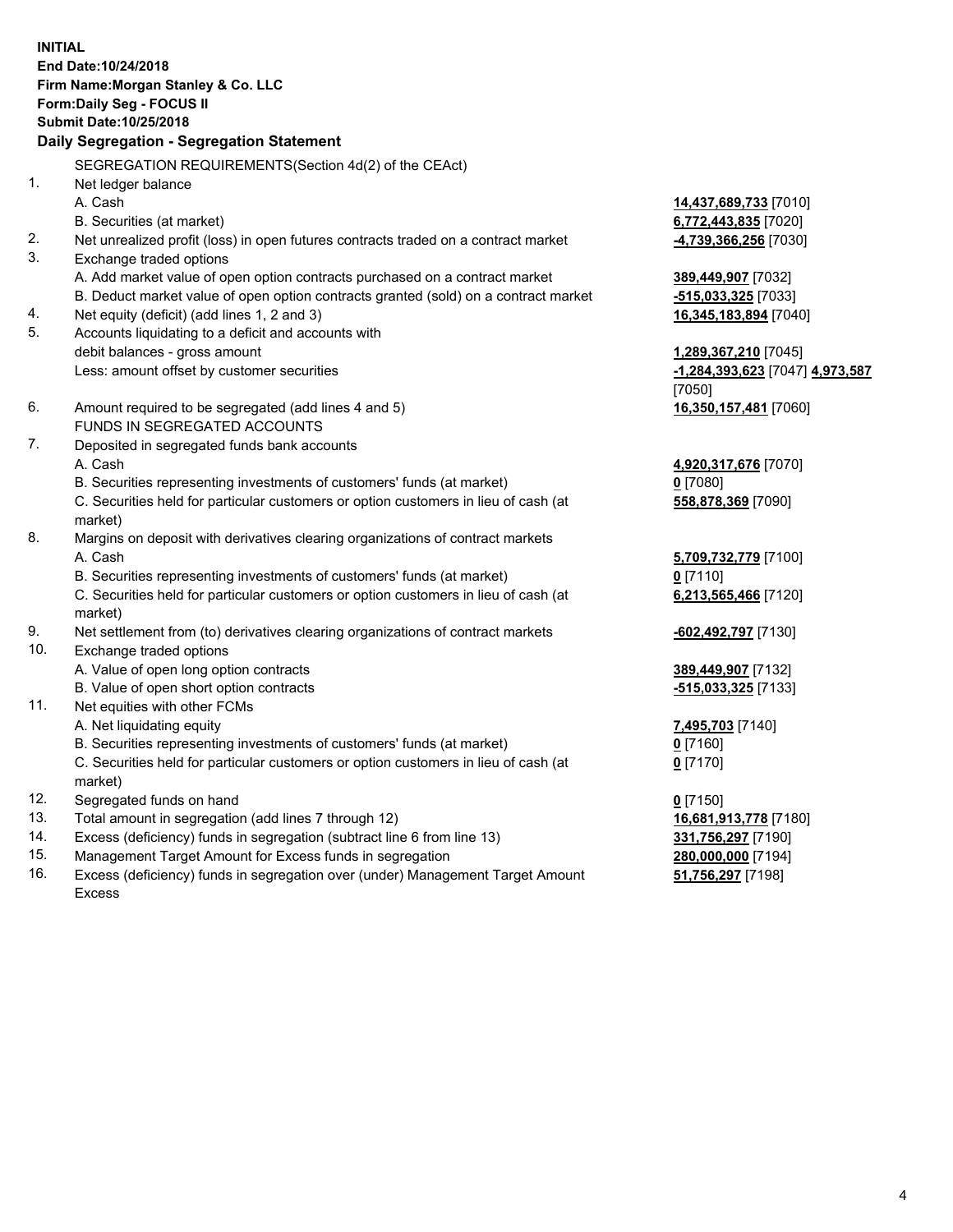**INITIAL End Date:10/24/2018 Firm Name:Morgan Stanley & Co. LLC Form:Daily Seg - FOCUS II Submit Date:10/25/2018 Daily Segregation - Segregation Statement** SEGREGATION REQUIREMENTS(Section 4d(2) of the CEAct) 1. Net ledger balance A. Cash **14,437,689,733** [7010] B. Securities (at market) **6,772,443,835** [7020] 2. Net unrealized profit (loss) in open futures contracts traded on a contract market **-4,739,366,256** [7030] 3. Exchange traded options A. Add market value of open option contracts purchased on a contract market **389,449,907** [7032] B. Deduct market value of open option contracts granted (sold) on a contract market **-515,033,325** [7033] 4. Net equity (deficit) (add lines 1, 2 and 3) **16,345,183,894** [7040] 5. Accounts liquidating to a deficit and accounts with debit balances - gross amount **1,289,367,210** [7045] Less: amount offset by customer securities **-1,284,393,623** [7047] **4,973,587** [7050] 6. Amount required to be segregated (add lines 4 and 5) **16,350,157,481** [7060] FUNDS IN SEGREGATED ACCOUNTS 7. Deposited in segregated funds bank accounts A. Cash **4,920,317,676** [7070] B. Securities representing investments of customers' funds (at market) **0** [7080] C. Securities held for particular customers or option customers in lieu of cash (at market) **558,878,369** [7090] 8. Margins on deposit with derivatives clearing organizations of contract markets A. Cash **5,709,732,779** [7100] B. Securities representing investments of customers' funds (at market) **0** [7110] C. Securities held for particular customers or option customers in lieu of cash (at market) **6,213,565,466** [7120] 9. Net settlement from (to) derivatives clearing organizations of contract markets **-602,492,797** [7130] 10. Exchange traded options A. Value of open long option contracts **389,449,907** [7132] B. Value of open short option contracts **-515,033,325** [7133] 11. Net equities with other FCMs A. Net liquidating equity **7,495,703** [7140] B. Securities representing investments of customers' funds (at market) **0** [7160] C. Securities held for particular customers or option customers in lieu of cash (at market) **0** [7170] 12. Segregated funds on hand **0** [7150] 13. Total amount in segregation (add lines 7 through 12) **16,681,913,778** [7180] 14. Excess (deficiency) funds in segregation (subtract line 6 from line 13) **331,756,297** [7190] 15. Management Target Amount for Excess funds in segregation **280,000,000** [7194]

16. Excess (deficiency) funds in segregation over (under) Management Target Amount Excess

**51,756,297** [7198]